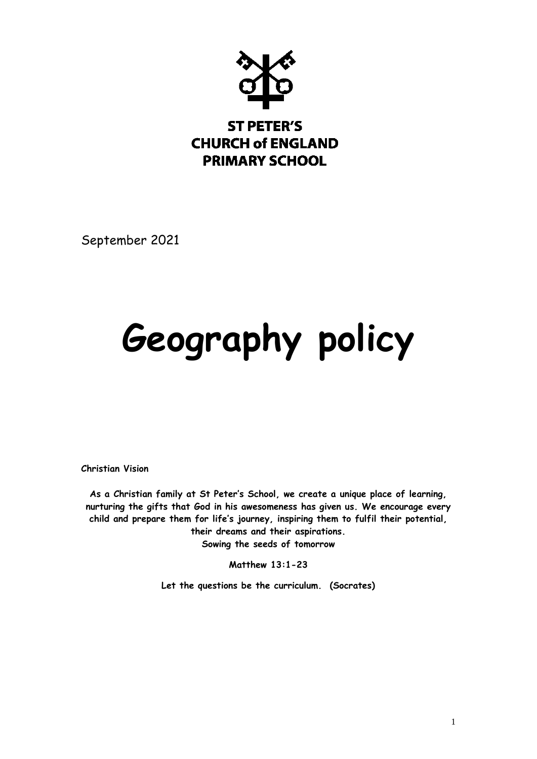

September 2021

# **Geography policy**

**Christian Vision** 

**As a Christian family at St Peter's School, we create a unique place of learning, nurturing the gifts that God in his awesomeness has given us. We encourage every child and prepare them for life's journey, inspiring them to fulfil their potential, their dreams and their aspirations. Sowing the seeds of tomorrow**

**Matthew 13:1-23**

**Let the questions be the curriculum. (Socrates)**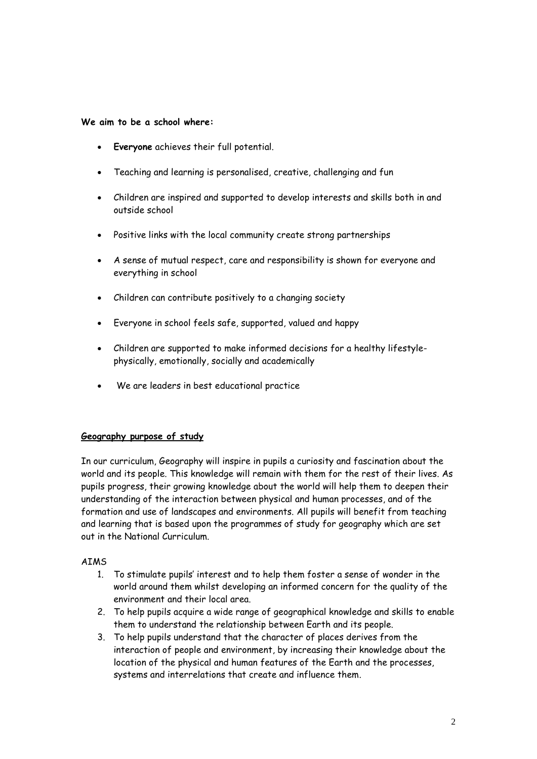#### **We aim to be a school where:**

- **Everyone** achieves their full potential.
- Teaching and learning is personalised, creative, challenging and fun
- Children are inspired and supported to develop interests and skills both in and outside school
- Positive links with the local community create strong partnerships
- A sense of mutual respect, care and responsibility is shown for everyone and everything in school
- Children can contribute positively to a changing society
- Everyone in school feels safe, supported, valued and happy
- Children are supported to make informed decisions for a healthy lifestylephysically, emotionally, socially and academically
- We are leaders in best educational practice

#### **Geography purpose of study**

In our curriculum, Geography will inspire in pupils a curiosity and fascination about the world and its people. This knowledge will remain with them for the rest of their lives. As pupils progress, their growing knowledge about the world will help them to deepen their understanding of the interaction between physical and human processes, and of the formation and use of landscapes and environments. All pupils will benefit from teaching and learning that is based upon the programmes of study for geography which are set out in the National Curriculum.

#### AIMS

- 1. To stimulate pupils' interest and to help them foster a sense of wonder in the world around them whilst developing an informed concern for the quality of the environment and their local area.
- 2. To help pupils acquire a wide range of geographical knowledge and skills to enable them to understand the relationship between Earth and its people.
- 3. To help pupils understand that the character of places derives from the interaction of people and environment, by increasing their knowledge about the location of the physical and human features of the Earth and the processes, systems and interrelations that create and influence them.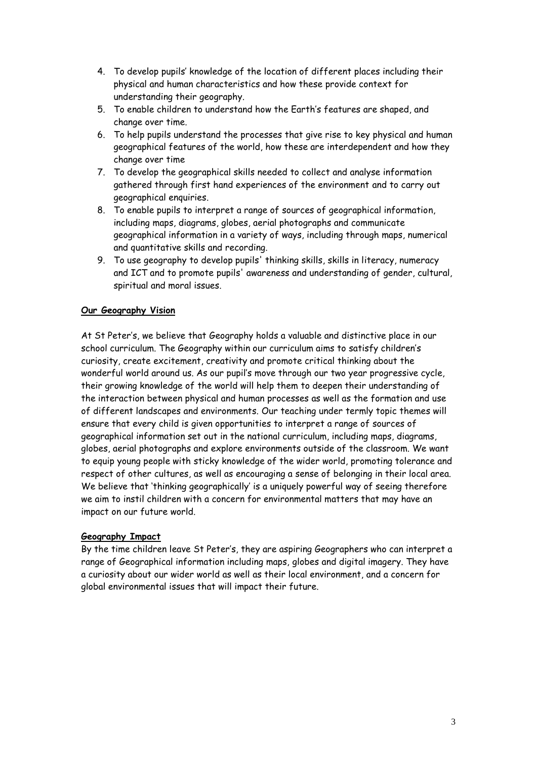- 4. To develop pupils' knowledge of the location of different places including their physical and human characteristics and how these provide context for understanding their geography.
- 5. To enable children to understand how the Earth's features are shaped, and change over time.
- 6. To help pupils understand the processes that give rise to key physical and human geographical features of the world, how these are interdependent and how they change over time
- 7. To develop the geographical skills needed to collect and analyse information gathered through first hand experiences of the environment and to carry out geographical enquiries.
- 8. To enable pupils to interpret a range of sources of geographical information, including maps, diagrams, globes, aerial photographs and communicate geographical information in a variety of ways, including through maps, numerical and quantitative skills and recording.
- 9. To use geography to develop pupils' thinking skills, skills in literacy, numeracy and ICT and to promote pupils' awareness and understanding of gender, cultural, spiritual and moral issues.

# **Our Geography Vision**

At St Peter's, we believe that Geography holds a valuable and distinctive place in our school curriculum. The Geography within our curriculum aims to satisfy children's curiosity, create excitement, creativity and promote critical thinking about the wonderful world around us. As our pupil's move through our two year progressive cycle, their growing knowledge of the world will help them to deepen their understanding of the interaction between physical and human processes as well as the formation and use of different landscapes and environments. Our teaching under termly topic themes will ensure that every child is given opportunities to interpret a range of sources of geographical information set out in the national curriculum, including maps, diagrams, globes, aerial photographs and explore environments outside of the classroom. We want to equip young people with sticky knowledge of the wider world, promoting tolerance and respect of other cultures, as well as encouraging a sense of belonging in their local area. We believe that 'thinking geographically' is a uniquely powerful way of seeing therefore we aim to instil children with a concern for environmental matters that may have an impact on our future world.

#### **Geography Impact**

By the time children leave St Peter's, they are aspiring Geographers who can interpret a range of Geographical information including maps, globes and digital imagery. They have a curiosity about our wider world as well as their local environment, and a concern for global environmental issues that will impact their future.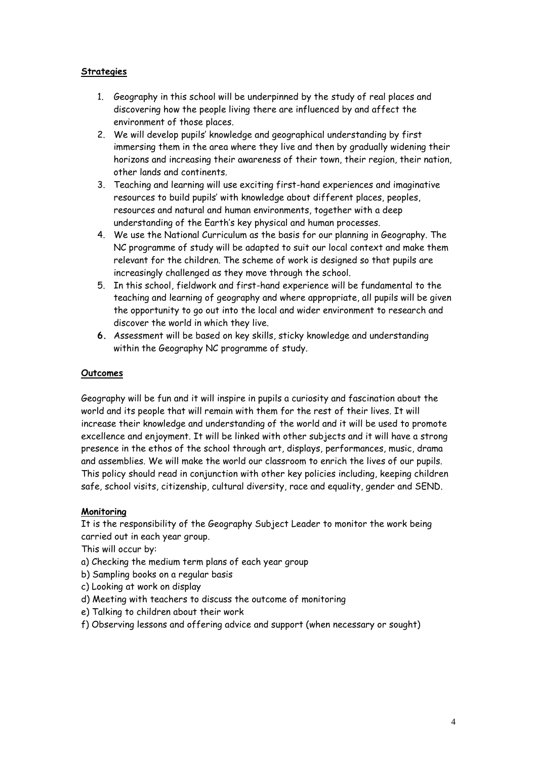## **Strategies**

- 1. Geography in this school will be underpinned by the study of real places and discovering how the people living there are influenced by and affect the environment of those places.
- 2. We will develop pupils' knowledge and geographical understanding by first immersing them in the area where they live and then by gradually widening their horizons and increasing their awareness of their town, their region, their nation, other lands and continents.
- 3. Teaching and learning will use exciting first-hand experiences and imaginative resources to build pupils' with knowledge about different places, peoples, resources and natural and human environments, together with a deep understanding of the Earth's key physical and human processes.
- 4. We use the National Curriculum as the basis for our planning in Geography. The NC programme of study will be adapted to suit our local context and make them relevant for the children. The scheme of work is designed so that pupils are increasingly challenged as they move through the school.
- 5. In this school, fieldwork and first-hand experience will be fundamental to the teaching and learning of geography and where appropriate, all pupils will be given the opportunity to go out into the local and wider environment to research and discover the world in which they live.
- **6.** Assessment will be based on key skills, sticky knowledge and understanding within the Geography NC programme of study.

# **Outcomes**

Geography will be fun and it will inspire in pupils a curiosity and fascination about the world and its people that will remain with them for the rest of their lives. It will increase their knowledge and understanding of the world and it will be used to promote excellence and enjoyment. It will be linked with other subjects and it will have a strong presence in the ethos of the school through art, displays, performances, music, drama and assemblies. We will make the world our classroom to enrich the lives of our pupils. This policy should read in conjunction with other key policies including, keeping children safe, school visits, citizenship, cultural diversity, race and equality, gender and SEND.

#### **Monitoring**

It is the responsibility of the Geography Subject Leader to monitor the work being carried out in each year group.

This will occur by:

- a) Checking the medium term plans of each year group
- b) Sampling books on a regular basis
- c) Looking at work on display
- d) Meeting with teachers to discuss the outcome of monitoring
- e) Talking to children about their work
- f) Observing lessons and offering advice and support (when necessary or sought)